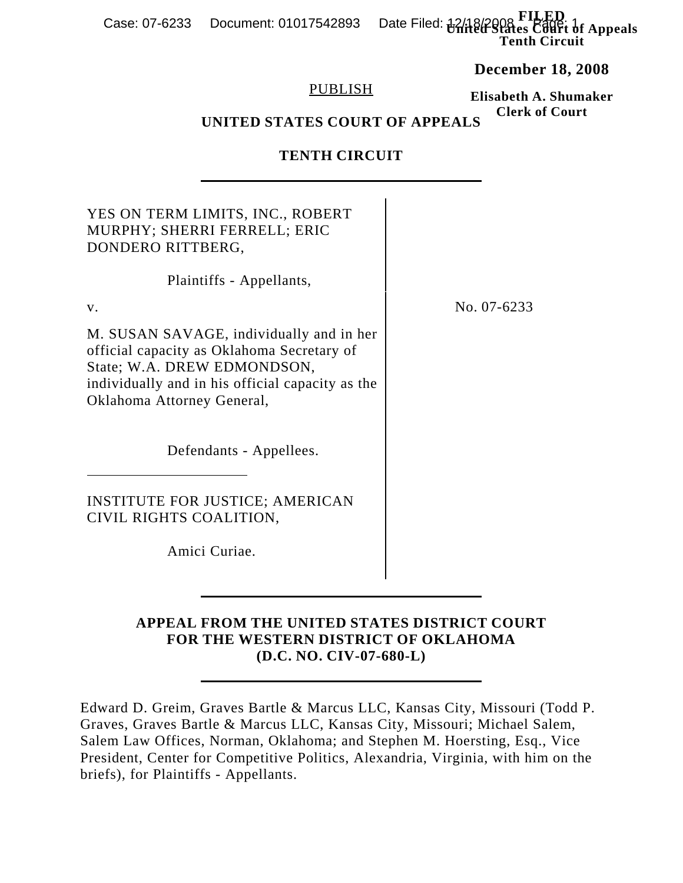**F**I. Date Filed:  $\frac{12}{18}$  Penalties Court of Appeals **Tenth Circuit** Case: 07-6233 Document: 01017542893

**December 18, 2008**

**Elisabeth A. Shumaker**

### PUBLISH

#### **Clerk of Court UNITED STATES COURT OF APPEALS**

### **TENTH CIRCUIT**

| YES ON TERM LIMITS, INC., ROBERT<br>MURPHY; SHERRI FERRELL; ERIC<br>DONDERO RITTBERG,                                                                                                                   |             |
|---------------------------------------------------------------------------------------------------------------------------------------------------------------------------------------------------------|-------------|
| Plaintiffs - Appellants,                                                                                                                                                                                |             |
| $V_{\cdot}$                                                                                                                                                                                             | No. 07-6233 |
| M. SUSAN SAVAGE, individually and in her<br>official capacity as Oklahoma Secretary of<br>State; W.A. DREW EDMONDSON,<br>individually and in his official capacity as the<br>Oklahoma Attorney General, |             |
| Defendants - Appellees.                                                                                                                                                                                 |             |
| <b>INSTITUTE FOR JUSTICE; AMERICAN</b><br>CIVIL RIGHTS COALITION,                                                                                                                                       |             |
| Amici Curiae.                                                                                                                                                                                           |             |

## **APPEAL FROM THE UNITED STATES DISTRICT COURT FOR THE WESTERN DISTRICT OF OKLAHOMA (D.C. NO. CIV-07-680-L)**

Edward D. Greim, Graves Bartle & Marcus LLC, Kansas City, Missouri (Todd P. Graves, Graves Bartle & Marcus LLC, Kansas City, Missouri; Michael Salem, Salem Law Offices, Norman, Oklahoma; and Stephen M. Hoersting, Esq., Vice President, Center for Competitive Politics, Alexandria, Virginia, with him on the briefs), for Plaintiffs - Appellants.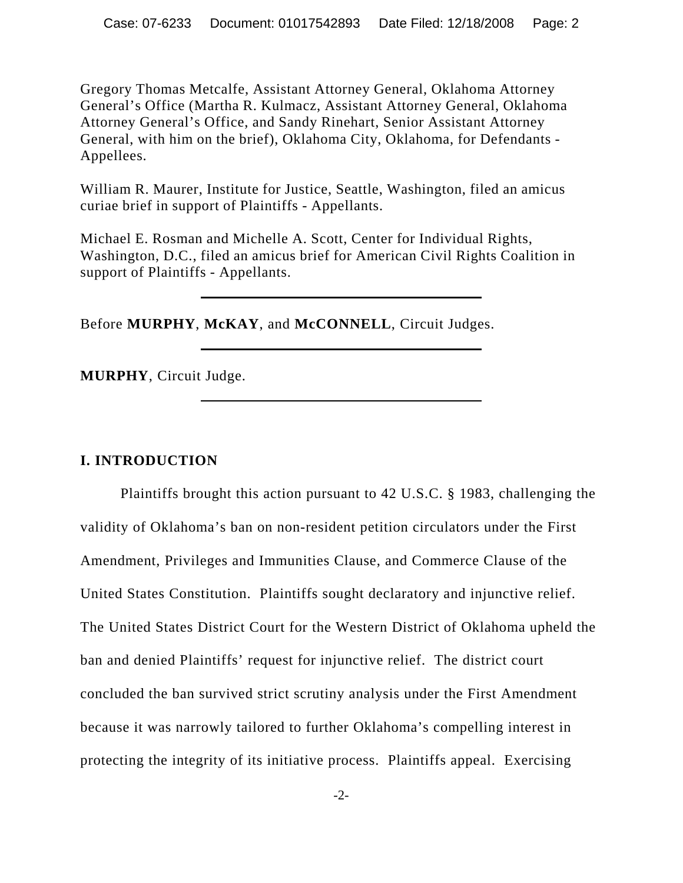Gregory Thomas Metcalfe, Assistant Attorney General, Oklahoma Attorney General's Office (Martha R. Kulmacz, Assistant Attorney General, Oklahoma Attorney General's Office, and Sandy Rinehart, Senior Assistant Attorney General, with him on the brief), Oklahoma City, Oklahoma, for Defendants - Appellees.

William R. Maurer, Institute for Justice, Seattle, Washington, filed an amicus curiae brief in support of Plaintiffs - Appellants.

Michael E. Rosman and Michelle A. Scott, Center for Individual Rights, Washington, D.C., filed an amicus brief for American Civil Rights Coalition in support of Plaintiffs - Appellants.

Before **MURPHY**, **McKAY**, and **McCONNELL**, Circuit Judges.

**MURPHY**, Circuit Judge.

## **I. INTRODUCTION**

Plaintiffs brought this action pursuant to 42 U.S.C. § 1983, challenging the validity of Oklahoma's ban on non-resident petition circulators under the First Amendment, Privileges and Immunities Clause, and Commerce Clause of the United States Constitution. Plaintiffs sought declaratory and injunctive relief. The United States District Court for the Western District of Oklahoma upheld the ban and denied Plaintiffs' request for injunctive relief. The district court concluded the ban survived strict scrutiny analysis under the First Amendment because it was narrowly tailored to further Oklahoma's compelling interest in protecting the integrity of its initiative process. Plaintiffs appeal. Exercising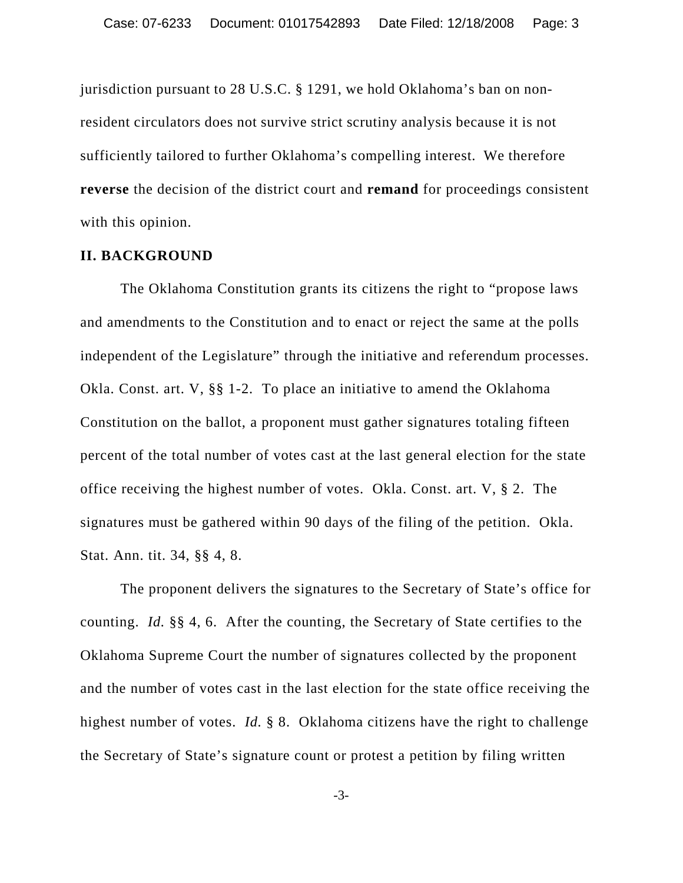jurisdiction pursuant to 28 U.S.C. § 1291, we hold Oklahoma's ban on nonresident circulators does not survive strict scrutiny analysis because it is not sufficiently tailored to further Oklahoma's compelling interest. We therefore **reverse** the decision of the district court and **remand** for proceedings consistent with this opinion.

### **II. BACKGROUND**

The Oklahoma Constitution grants its citizens the right to "propose laws and amendments to the Constitution and to enact or reject the same at the polls independent of the Legislature" through the initiative and referendum processes. Okla. Const. art. V, §§ 1-2. To place an initiative to amend the Oklahoma Constitution on the ballot, a proponent must gather signatures totaling fifteen percent of the total number of votes cast at the last general election for the state office receiving the highest number of votes. Okla. Const. art. V, § 2. The signatures must be gathered within 90 days of the filing of the petition. Okla. Stat. Ann. tit. 34, §§ 4, 8.

The proponent delivers the signatures to the Secretary of State's office for counting. *Id.* §§ 4, 6. After the counting, the Secretary of State certifies to the Oklahoma Supreme Court the number of signatures collected by the proponent and the number of votes cast in the last election for the state office receiving the highest number of votes. *Id.* § 8. Oklahoma citizens have the right to challenge the Secretary of State's signature count or protest a petition by filing written

-3-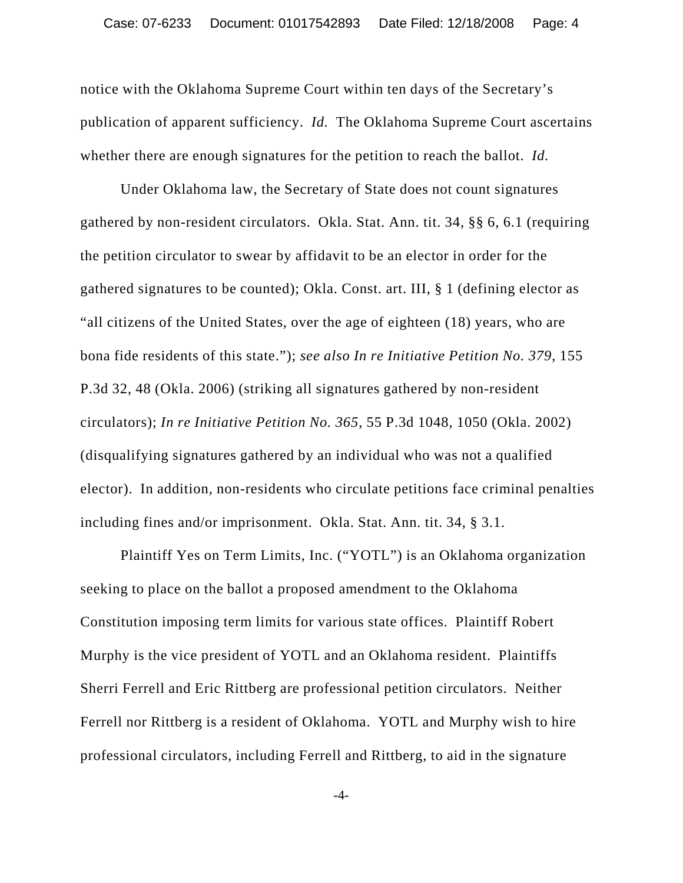notice with the Oklahoma Supreme Court within ten days of the Secretary's publication of apparent sufficiency. *Id.* The Oklahoma Supreme Court ascertains whether there are enough signatures for the petition to reach the ballot. *Id.*

Under Oklahoma law, the Secretary of State does not count signatures gathered by non-resident circulators. Okla. Stat. Ann. tit. 34, §§ 6, 6.1 (requiring the petition circulator to swear by affidavit to be an elector in order for the gathered signatures to be counted); Okla. Const. art. III, § 1 (defining elector as "all citizens of the United States, over the age of eighteen (18) years, who are bona fide residents of this state."); *see also In re Initiative Petition No. 379*, 155 P.3d 32, 48 (Okla. 2006) (striking all signatures gathered by non-resident circulators); *In re Initiative Petition No. 365*, 55 P.3d 1048, 1050 (Okla. 2002) (disqualifying signatures gathered by an individual who was not a qualified elector). In addition, non-residents who circulate petitions face criminal penalties including fines and/or imprisonment. Okla. Stat. Ann. tit. 34, § 3.1.

Plaintiff Yes on Term Limits, Inc. ("YOTL") is an Oklahoma organization seeking to place on the ballot a proposed amendment to the Oklahoma Constitution imposing term limits for various state offices. Plaintiff Robert Murphy is the vice president of YOTL and an Oklahoma resident. Plaintiffs Sherri Ferrell and Eric Rittberg are professional petition circulators. Neither Ferrell nor Rittberg is a resident of Oklahoma. YOTL and Murphy wish to hire professional circulators, including Ferrell and Rittberg, to aid in the signature

-4-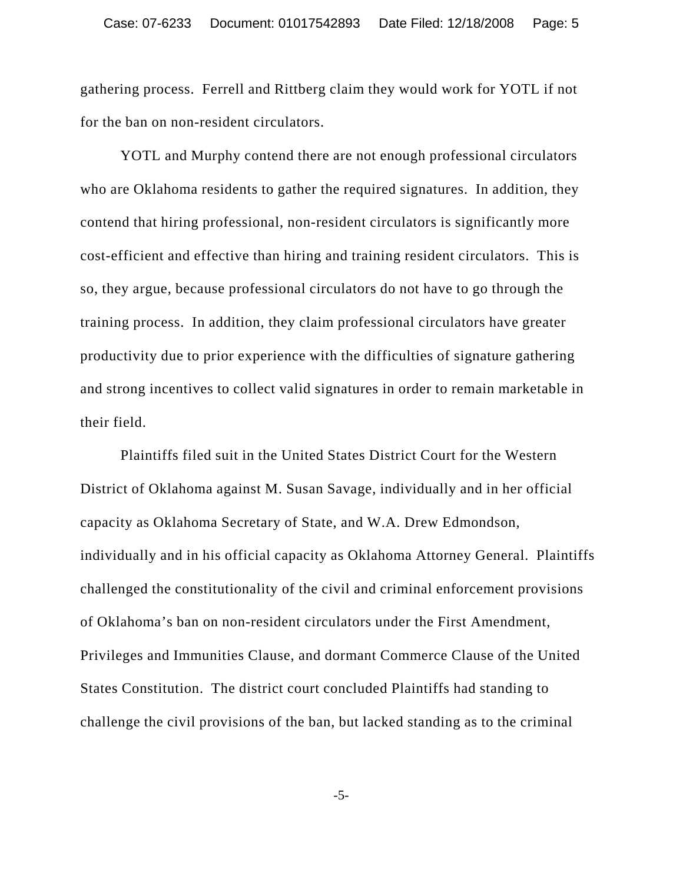gathering process. Ferrell and Rittberg claim they would work for YOTL if not for the ban on non-resident circulators.

YOTL and Murphy contend there are not enough professional circulators who are Oklahoma residents to gather the required signatures. In addition, they contend that hiring professional, non-resident circulators is significantly more cost-efficient and effective than hiring and training resident circulators. This is so, they argue, because professional circulators do not have to go through the training process. In addition, they claim professional circulators have greater productivity due to prior experience with the difficulties of signature gathering and strong incentives to collect valid signatures in order to remain marketable in their field.

Plaintiffs filed suit in the United States District Court for the Western District of Oklahoma against M. Susan Savage, individually and in her official capacity as Oklahoma Secretary of State, and W.A. Drew Edmondson, individually and in his official capacity as Oklahoma Attorney General. Plaintiffs challenged the constitutionality of the civil and criminal enforcement provisions of Oklahoma's ban on non-resident circulators under the First Amendment, Privileges and Immunities Clause, and dormant Commerce Clause of the United States Constitution. The district court concluded Plaintiffs had standing to challenge the civil provisions of the ban, but lacked standing as to the criminal

-5-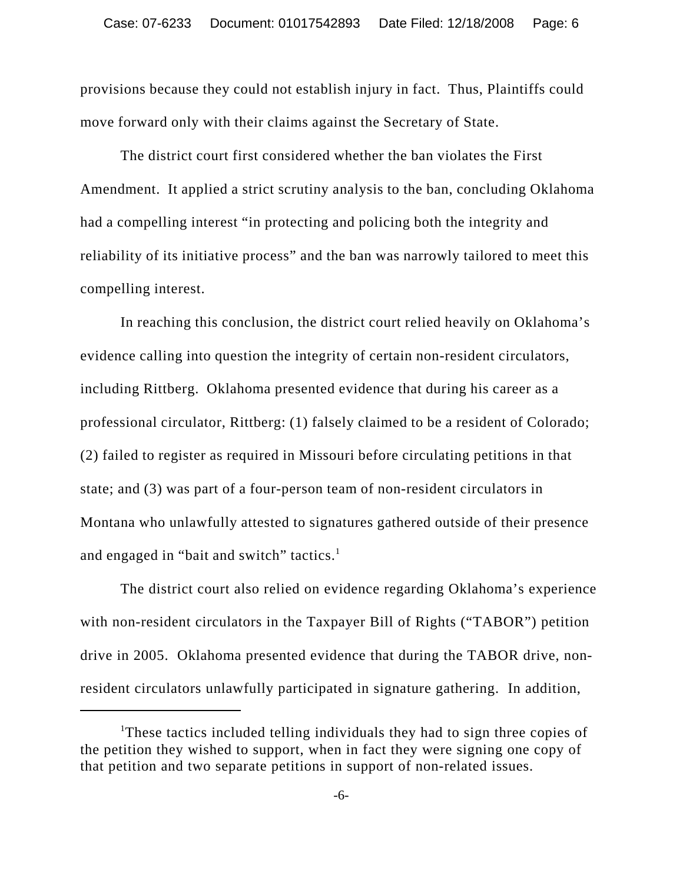provisions because they could not establish injury in fact. Thus, Plaintiffs could move forward only with their claims against the Secretary of State.

The district court first considered whether the ban violates the First Amendment. It applied a strict scrutiny analysis to the ban, concluding Oklahoma had a compelling interest "in protecting and policing both the integrity and reliability of its initiative process" and the ban was narrowly tailored to meet this compelling interest.

In reaching this conclusion, the district court relied heavily on Oklahoma's evidence calling into question the integrity of certain non-resident circulators, including Rittberg. Oklahoma presented evidence that during his career as a professional circulator, Rittberg: (1) falsely claimed to be a resident of Colorado; (2) failed to register as required in Missouri before circulating petitions in that state; and (3) was part of a four-person team of non-resident circulators in Montana who unlawfully attested to signatures gathered outside of their presence and engaged in "bait and switch" tactics. $<sup>1</sup>$ </sup>

The district court also relied on evidence regarding Oklahoma's experience with non-resident circulators in the Taxpayer Bill of Rights ("TABOR") petition drive in 2005. Oklahoma presented evidence that during the TABOR drive, nonresident circulators unlawfully participated in signature gathering. In addition,

<sup>&</sup>lt;sup>1</sup>These tactics included telling individuals they had to sign three copies of the petition they wished to support, when in fact they were signing one copy of that petition and two separate petitions in support of non-related issues.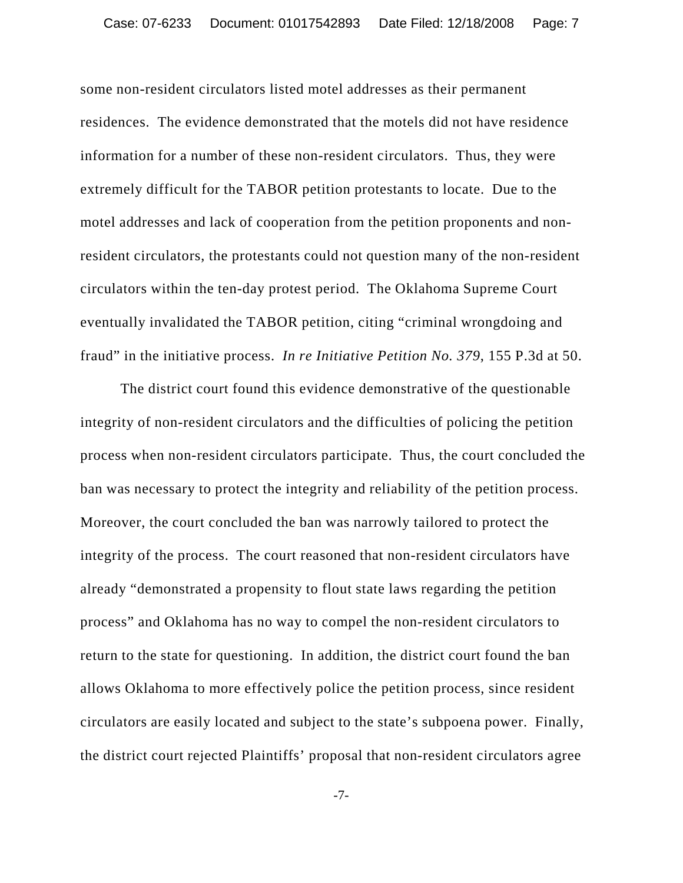some non-resident circulators listed motel addresses as their permanent residences. The evidence demonstrated that the motels did not have residence information for a number of these non-resident circulators. Thus, they were extremely difficult for the TABOR petition protestants to locate. Due to the motel addresses and lack of cooperation from the petition proponents and nonresident circulators, the protestants could not question many of the non-resident circulators within the ten-day protest period. The Oklahoma Supreme Court eventually invalidated the TABOR petition, citing "criminal wrongdoing and fraud" in the initiative process. *In re Initiative Petition No. 379*, 155 P.3d at 50.

The district court found this evidence demonstrative of the questionable integrity of non-resident circulators and the difficulties of policing the petition process when non-resident circulators participate. Thus, the court concluded the ban was necessary to protect the integrity and reliability of the petition process. Moreover, the court concluded the ban was narrowly tailored to protect the integrity of the process. The court reasoned that non-resident circulators have already "demonstrated a propensity to flout state laws regarding the petition process" and Oklahoma has no way to compel the non-resident circulators to return to the state for questioning. In addition, the district court found the ban allows Oklahoma to more effectively police the petition process, since resident circulators are easily located and subject to the state's subpoena power. Finally, the district court rejected Plaintiffs' proposal that non-resident circulators agree

-7-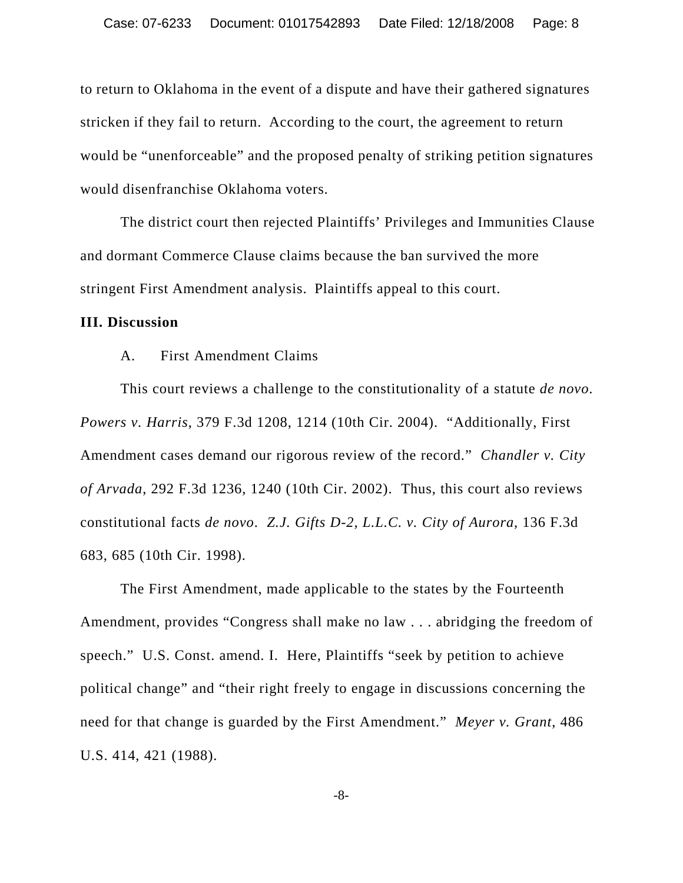to return to Oklahoma in the event of a dispute and have their gathered signatures stricken if they fail to return. According to the court, the agreement to return would be "unenforceable" and the proposed penalty of striking petition signatures would disenfranchise Oklahoma voters.

The district court then rejected Plaintiffs' Privileges and Immunities Clause and dormant Commerce Clause claims because the ban survived the more stringent First Amendment analysis. Plaintiffs appeal to this court.

#### **III. Discussion**

A. First Amendment Claims

This court reviews a challenge to the constitutionality of a statute *de novo*. *Powers v. Harris*, 379 F.3d 1208, 1214 (10th Cir. 2004). "Additionally, First Amendment cases demand our rigorous review of the record." *Chandler v. City of Arvada*, 292 F.3d 1236, 1240 (10th Cir. 2002). Thus, this court also reviews constitutional facts *de novo*. *Z.J. Gifts D-2, L.L.C. v. City of Aurora*, 136 F.3d 683, 685 (10th Cir. 1998).

The First Amendment, made applicable to the states by the Fourteenth Amendment, provides "Congress shall make no law . . . abridging the freedom of speech." U.S. Const. amend. I. Here, Plaintiffs "seek by petition to achieve political change" and "their right freely to engage in discussions concerning the need for that change is guarded by the First Amendment." *Meyer v. Grant*, 486 U.S. 414, 421 (1988).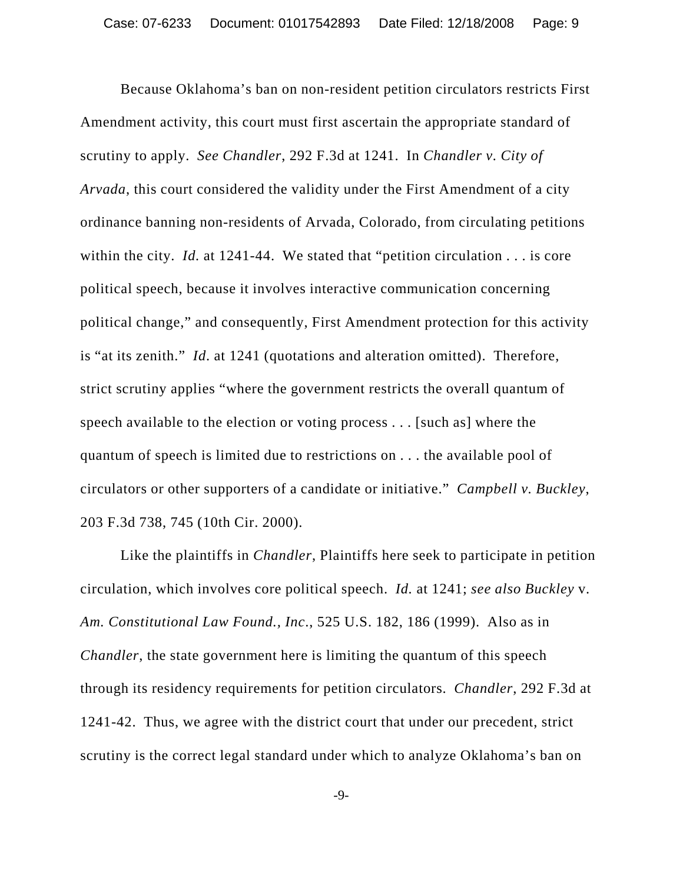Because Oklahoma's ban on non-resident petition circulators restricts First Amendment activity, this court must first ascertain the appropriate standard of scrutiny to apply. *See Chandler*, 292 F.3d at 1241. In *Chandler v. City of Arvada*, this court considered the validity under the First Amendment of a city ordinance banning non-residents of Arvada, Colorado, from circulating petitions within the city. *Id.* at 1241-44. We stated that "petition circulation . . . is core political speech, because it involves interactive communication concerning political change," and consequently, First Amendment protection for this activity is "at its zenith." *Id*. at 1241 (quotations and alteration omitted). Therefore, strict scrutiny applies "where the government restricts the overall quantum of speech available to the election or voting process . . . [such as] where the quantum of speech is limited due to restrictions on . . . the available pool of circulators or other supporters of a candidate or initiative." *Campbell v. Buckley*, 203 F.3d 738, 745 (10th Cir. 2000).

Like the plaintiffs in *Chandler*, Plaintiffs here seek to participate in petition circulation, which involves core political speech. *Id.* at 1241; *see also Buckley* v. *Am. Constitutional Law Found., Inc*., 525 U.S. 182, 186 (1999). Also as in *Chandler*, the state government here is limiting the quantum of this speech through its residency requirements for petition circulators. *Chandler*, 292 F.3d at 1241-42. Thus, we agree with the district court that under our precedent, strict scrutiny is the correct legal standard under which to analyze Oklahoma's ban on

-9-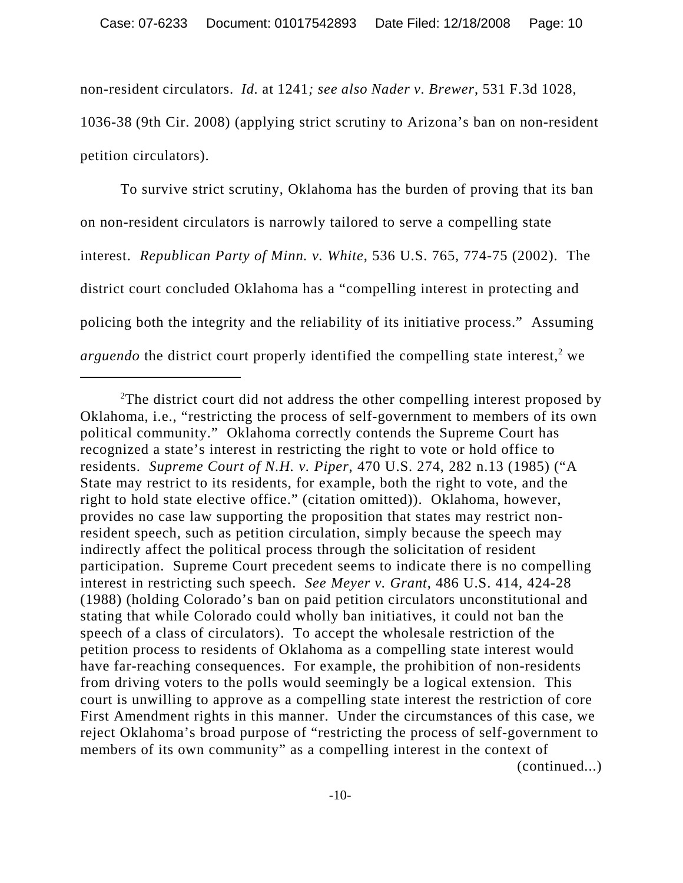non-resident circulators. *Id.* at 1241*; see also Nader v. Brewer*, 531 F.3d 1028, 1036-38 (9th Cir. 2008) (applying strict scrutiny to Arizona's ban on non-resident petition circulators).

To survive strict scrutiny, Oklahoma has the burden of proving that its ban on non-resident circulators is narrowly tailored to serve a compelling state interest. *Republican Party of Minn. v. White*, 536 U.S. 765, 774-75 (2002). The district court concluded Oklahoma has a "compelling interest in protecting and policing both the integrity and the reliability of its initiative process." Assuming *arguendo* the district court properly identified the compelling state interest,<sup>2</sup> we

<sup>&</sup>lt;sup>2</sup>The district court did not address the other compelling interest proposed by Oklahoma, i.e., "restricting the process of self-government to members of its own political community." Oklahoma correctly contends the Supreme Court has recognized a state's interest in restricting the right to vote or hold office to residents. *Supreme Court of N.H. v. Piper*, 470 U.S. 274, 282 n.13 (1985) ("A State may restrict to its residents, for example, both the right to vote, and the right to hold state elective office." (citation omitted)). Oklahoma, however, provides no case law supporting the proposition that states may restrict nonresident speech, such as petition circulation, simply because the speech may indirectly affect the political process through the solicitation of resident participation. Supreme Court precedent seems to indicate there is no compelling interest in restricting such speech. *See Meyer v. Grant*, 486 U.S. 414, 424-28 (1988) (holding Colorado's ban on paid petition circulators unconstitutional and stating that while Colorado could wholly ban initiatives, it could not ban the speech of a class of circulators). To accept the wholesale restriction of the petition process to residents of Oklahoma as a compelling state interest would have far-reaching consequences. For example, the prohibition of non-residents from driving voters to the polls would seemingly be a logical extension. This court is unwilling to approve as a compelling state interest the restriction of core First Amendment rights in this manner. Under the circumstances of this case, we reject Oklahoma's broad purpose of "restricting the process of self-government to members of its own community" as a compelling interest in the context of (continued...)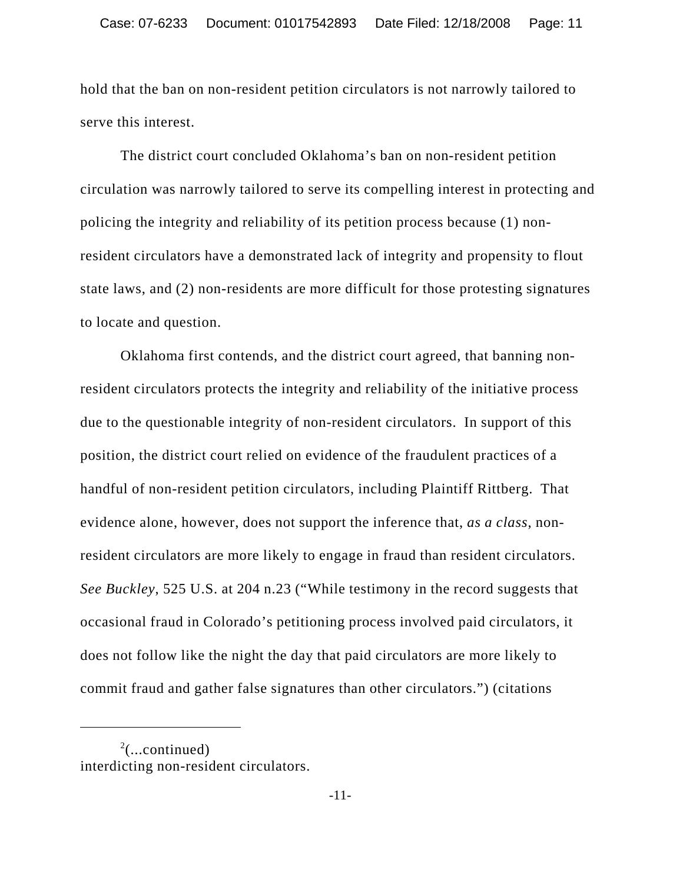hold that the ban on non-resident petition circulators is not narrowly tailored to serve this interest.

The district court concluded Oklahoma's ban on non-resident petition circulation was narrowly tailored to serve its compelling interest in protecting and policing the integrity and reliability of its petition process because (1) nonresident circulators have a demonstrated lack of integrity and propensity to flout state laws, and (2) non-residents are more difficult for those protesting signatures to locate and question.

Oklahoma first contends, and the district court agreed, that banning nonresident circulators protects the integrity and reliability of the initiative process due to the questionable integrity of non-resident circulators. In support of this position, the district court relied on evidence of the fraudulent practices of a handful of non-resident petition circulators, including Plaintiff Rittberg. That evidence alone, however, does not support the inference that, *as a class*, nonresident circulators are more likely to engage in fraud than resident circulators. *See Buckley*, 525 U.S. at 204 n.23 ("While testimony in the record suggests that occasional fraud in Colorado's petitioning process involved paid circulators, it does not follow like the night the day that paid circulators are more likely to commit fraud and gather false signatures than other circulators.") (citations

 $2$ (...continued) interdicting non-resident circulators.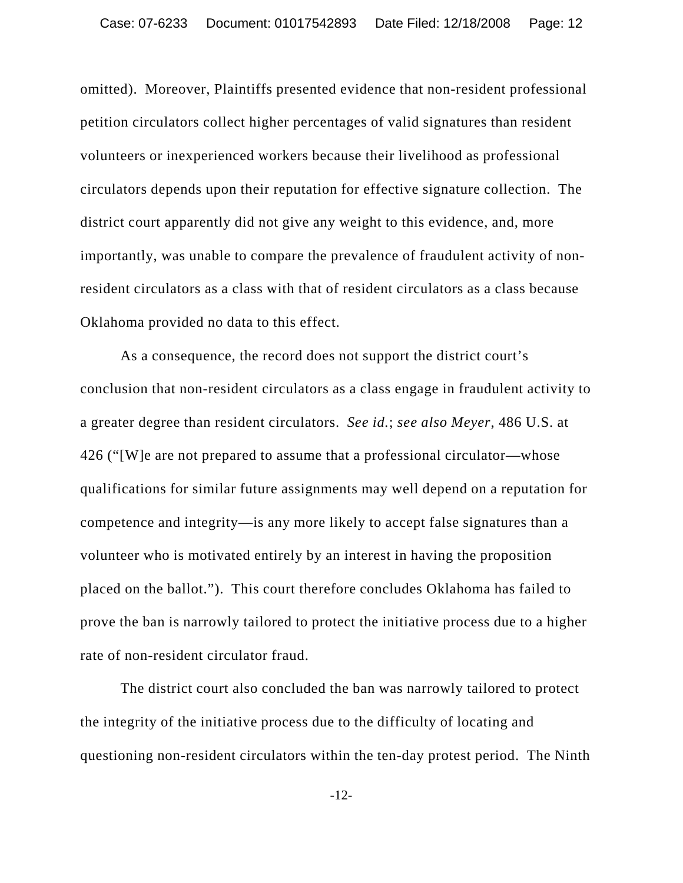omitted). Moreover, Plaintiffs presented evidence that non-resident professional petition circulators collect higher percentages of valid signatures than resident volunteers or inexperienced workers because their livelihood as professional circulators depends upon their reputation for effective signature collection. The district court apparently did not give any weight to this evidence, and, more importantly, was unable to compare the prevalence of fraudulent activity of nonresident circulators as a class with that of resident circulators as a class because Oklahoma provided no data to this effect.

As a consequence, the record does not support the district court's conclusion that non-resident circulators as a class engage in fraudulent activity to a greater degree than resident circulators. *See id.*; *see also Meyer*, 486 U.S. at 426 ("[W]e are not prepared to assume that a professional circulator—whose qualifications for similar future assignments may well depend on a reputation for competence and integrity—is any more likely to accept false signatures than a volunteer who is motivated entirely by an interest in having the proposition placed on the ballot."). This court therefore concludes Oklahoma has failed to prove the ban is narrowly tailored to protect the initiative process due to a higher rate of non-resident circulator fraud.

The district court also concluded the ban was narrowly tailored to protect the integrity of the initiative process due to the difficulty of locating and questioning non-resident circulators within the ten-day protest period. The Ninth

-12-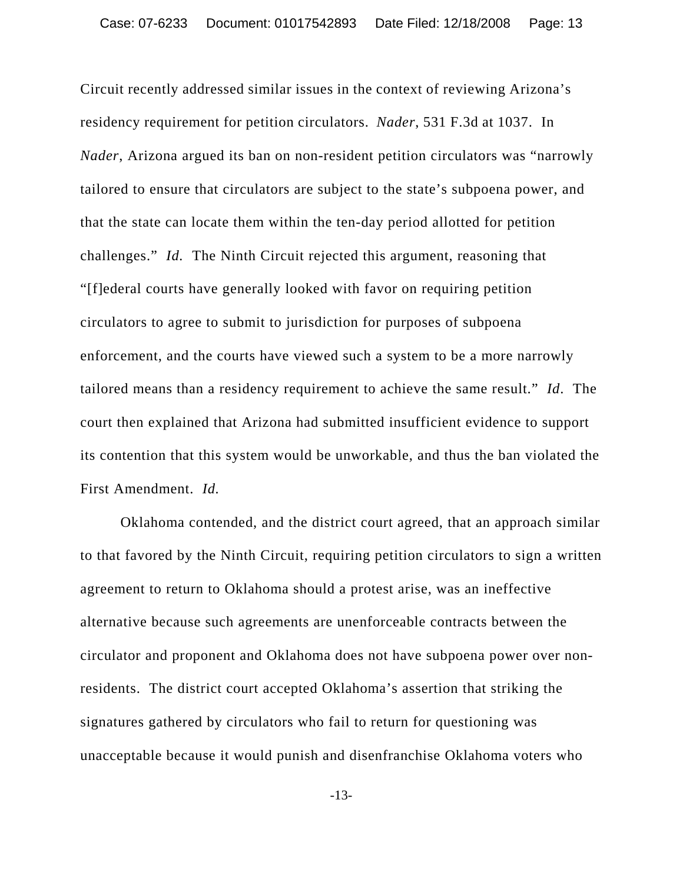Circuit recently addressed similar issues in the context of reviewing Arizona's residency requirement for petition circulators. *Nader*, 531 F.3d at 1037. In *Nader*, Arizona argued its ban on non-resident petition circulators was "narrowly tailored to ensure that circulators are subject to the state's subpoena power, and that the state can locate them within the ten-day period allotted for petition challenges." *Id.* The Ninth Circuit rejected this argument, reasoning that "[f]ederal courts have generally looked with favor on requiring petition circulators to agree to submit to jurisdiction for purposes of subpoena enforcement, and the courts have viewed such a system to be a more narrowly tailored means than a residency requirement to achieve the same result." *Id*. The court then explained that Arizona had submitted insufficient evidence to support its contention that this system would be unworkable, and thus the ban violated the First Amendment. *Id.* 

Oklahoma contended, and the district court agreed, that an approach similar to that favored by the Ninth Circuit, requiring petition circulators to sign a written agreement to return to Oklahoma should a protest arise, was an ineffective alternative because such agreements are unenforceable contracts between the circulator and proponent and Oklahoma does not have subpoena power over nonresidents. The district court accepted Oklahoma's assertion that striking the signatures gathered by circulators who fail to return for questioning was unacceptable because it would punish and disenfranchise Oklahoma voters who

-13-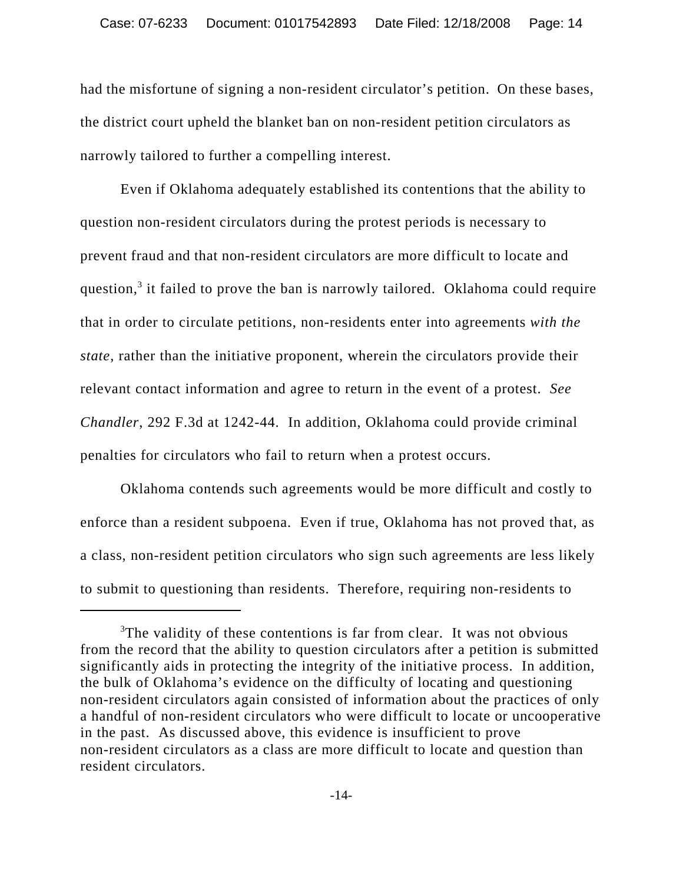had the misfortune of signing a non-resident circulator's petition. On these bases, the district court upheld the blanket ban on non-resident petition circulators as narrowly tailored to further a compelling interest.

Even if Oklahoma adequately established its contentions that the ability to question non-resident circulators during the protest periods is necessary to prevent fraud and that non-resident circulators are more difficult to locate and question,<sup>3</sup> it failed to prove the ban is narrowly tailored. Oklahoma could require that in order to circulate petitions, non-residents enter into agreements *with the state*, rather than the initiative proponent, wherein the circulators provide their relevant contact information and agree to return in the event of a protest. *See Chandler*, 292 F.3d at 1242-44. In addition, Oklahoma could provide criminal penalties for circulators who fail to return when a protest occurs.

Oklahoma contends such agreements would be more difficult and costly to enforce than a resident subpoena. Even if true, Oklahoma has not proved that, as a class, non-resident petition circulators who sign such agreements are less likely to submit to questioning than residents. Therefore, requiring non-residents to

<sup>&</sup>lt;sup>3</sup>The validity of these contentions is far from clear. It was not obvious from the record that the ability to question circulators after a petition is submitted significantly aids in protecting the integrity of the initiative process. In addition, the bulk of Oklahoma's evidence on the difficulty of locating and questioning non-resident circulators again consisted of information about the practices of only a handful of non-resident circulators who were difficult to locate or uncooperative in the past. As discussed above, this evidence is insufficient to prove non-resident circulators as a class are more difficult to locate and question than resident circulators.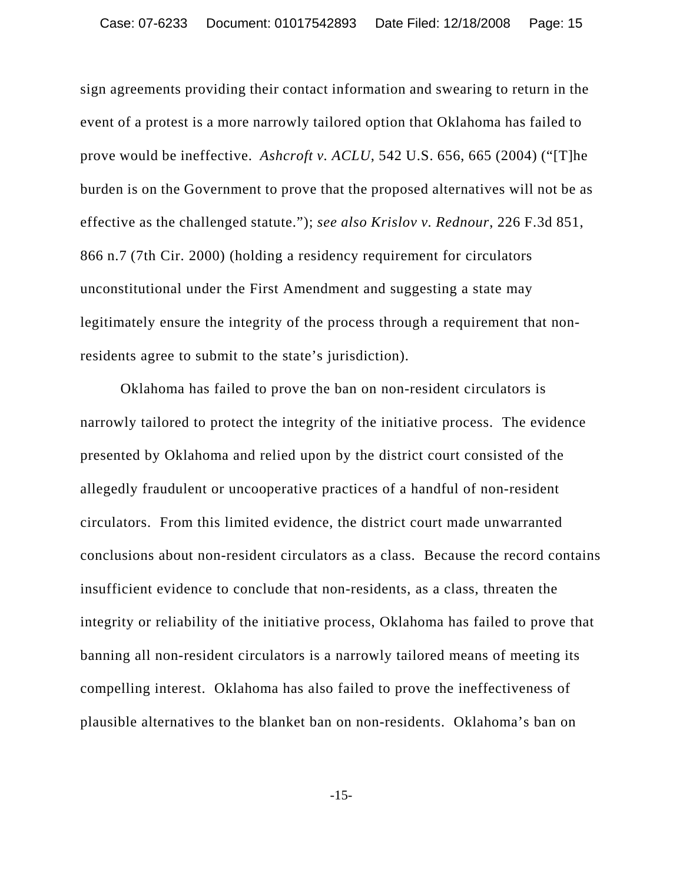sign agreements providing their contact information and swearing to return in the event of a protest is a more narrowly tailored option that Oklahoma has failed to prove would be ineffective. *Ashcroft v. ACLU*, 542 U.S. 656, 665 (2004) ("[T]he burden is on the Government to prove that the proposed alternatives will not be as effective as the challenged statute."); *see also Krislov v. Rednour*, 226 F.3d 851, 866 n.7 (7th Cir. 2000) (holding a residency requirement for circulators unconstitutional under the First Amendment and suggesting a state may legitimately ensure the integrity of the process through a requirement that nonresidents agree to submit to the state's jurisdiction).

Oklahoma has failed to prove the ban on non-resident circulators is narrowly tailored to protect the integrity of the initiative process. The evidence presented by Oklahoma and relied upon by the district court consisted of the allegedly fraudulent or uncooperative practices of a handful of non-resident circulators. From this limited evidence, the district court made unwarranted conclusions about non-resident circulators as a class. Because the record contains insufficient evidence to conclude that non-residents, as a class, threaten the integrity or reliability of the initiative process, Oklahoma has failed to prove that banning all non-resident circulators is a narrowly tailored means of meeting its compelling interest. Oklahoma has also failed to prove the ineffectiveness of plausible alternatives to the blanket ban on non-residents. Oklahoma's ban on

-15-